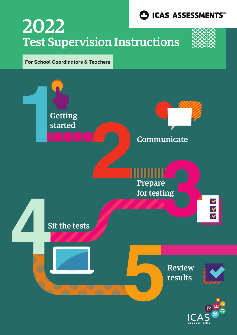

## Test Supervision Instructions 2022



## **For School Coordinators & Teachers**

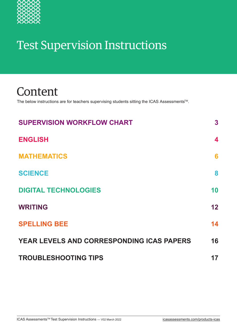

## Test Supervision Instructions

## Content

The below instructions are for teachers supervising students sitting the ICAS Assessments<sup>™</sup>.

| <b>SUPERVISION WORKFLOW CHART</b>                | 3  |
|--------------------------------------------------|----|
| <b>ENGLISH</b>                                   | 4  |
| <b>MATHEMATICS</b>                               | 6  |
| <b>SCIENCE</b>                                   | 8  |
| <b>DIGITAL TECHNOLOGIES</b>                      | 10 |
| <b>WRITING</b>                                   | 12 |
| <b>SPELLING BEE</b>                              | 14 |
| <b>YEAR LEVELS AND CORRESPONDING ICAS PAPERS</b> | 16 |
| <b>TROUBLESHOOTING TIPS</b>                      | 17 |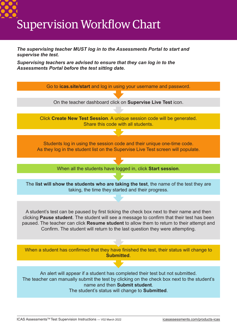# Supervision Workflow Chart

*supervise the test.*

*The supervising teacher MUST log in to the Assessments Portal to start and* 

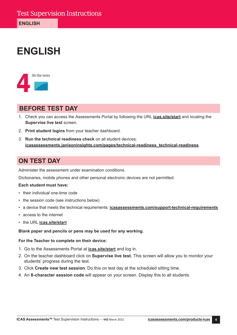## **ENGLISH**



## **BEFORE TEST DAY**

- 1. Check you can access the Assessments Portal by following the URL **[icas.site/start](https://icasassessments.janisoninsights.com/)** and locating the **Supervise live test** screen.
- 2. **Print student logins** from your teacher dashboard.
- 3. **Run the technical readiness check** on all student devices: **[icasassessments.janisoninsights.com/pages/technical-readiness\\_technical-readiness](https://icasassessments.janisoninsights.com/pages/technical-readiness_technical-readiness)**.

## **ON TEST DAY**

Administer the assessment under examination conditions.

Dictionaries, mobile phones and other personal electronic devices are not permitted.

## **Each student must have:**

- their individual one-time code
- the session code (see instructions below)
- a device that meets the [technical requirements](https://www.icasassessments.com/support-technical-requirements/): **[icasassessments.com/support-technical-requirements](http://icasassessments.com/support-technical-requirements)**
- access to the internet
- the URL **[icas.site/start](https://icasassessments.janisoninsights.com/)**

## **Blank paper and pencils or pens may be used for any working.**

- 1. Go to the Assessments Portal at **[icas.site/start](https://icasassessments.janisoninsights.com/)** and log in.
- 2. On the teacher dashboard click on **Supervise live test.** This screen will allow you to monitor your students' progress during the test.
- 3. Click **Create new test session**. Do this on test day at the scheduled sitting time.
- 4. An **8-character session code** will appear on your screen. Display this to all students.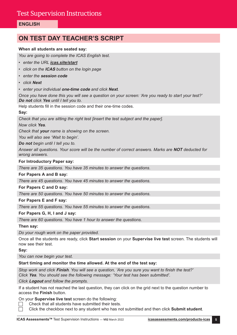## **ENGLISH**

## **ON TEST DAY TEACHER'S SCRIPT**

## **When all students are seated say:**

*You are going to complete the ICAS English test.*

- *• enter the URL [icas.site/start](https://icasassessments.janisoninsights.com/)*
- *• click on the* **ICAS** *button on the login page*
- *• enter the* **session code**
- *• click* **Next**

*• enter your individual* **one-time code** *and click* **Next***.*

*Once you have done this you will see a question on your screen: 'Are you ready to start your test?'*  **Do not** *click* **Yes** *until I tell you to.*

Help students fill in the session code and their one-time codes.

#### **Say:**

*Check that you are sitting the right test [insert the test subject and the paper].*

*Now click* **Yes***.*

*Check that* **your** *name is showing on the screen.*

*You will also see 'Wait to begin'.*

*Do not begin until I tell you to.*

*Answer all questions. Your score will be the number of correct answers. Marks are* **NOT** *deducted for wrong answers.*

#### **For Introductory Paper say:**

*There are 35 questions. You have 35 minutes to answer the questions.*

#### **For Papers A and B say:**

*There are 45 questions. You have 45 minutes to answer the questions.*

**For Papers C and D say:**

*There are 50 questions. You have 50 minutes to answer the questions.*

## **For Papers E and F say:**

*There are 55 questions. You have 55 minutes to answer the questions.*

## **For Papers G, H, I and J say:**

*There are 60 questions. You have 1 hour to answer the questions.*

**Then say:**

*Do your rough work on the paper provided.* 

Once all the students are ready, click **Start session** on your **Supervise live test** screen. The students will now see their test.

**Say:**

*You can now begin your test.*

## **Start timing and monitor the time allowed. At the end of the test say:**

*Stop work and click* **Finish***. You will see a question, 'Are you sure you want to finish the test?' Click* **Yes***. You should see the following message: 'Your test has been submitted'.*

*Click* **Logout** *and follow the prompts.* 

If a student has not reached the last question, they can click on the grid next to the question number to access the **Finish** button.

On your **Supervise live test** screen do the following:

 Check that all students have submitted their tests.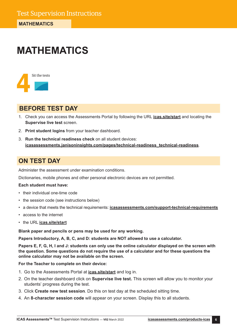## **MATHEMATICS**



## **BEFORE TEST DAY**

- 1. Check you can access the Assessments Portal by following the URL **[icas.site/start](https://icasassessments.janisoninsights.com/)** and locating the **Supervise live test** screen.
- 2. **Print student logins** from your teacher dashboard.
- 3. **Run the technical readiness check** on all student devices: **[icasassessments.janisoninsights.com/pages/technical-readiness\\_technical-readiness](https://icasassessments.janisoninsights.com/pages/technical-readiness_technical-readiness)**.

## **ON TEST DAY**

Administer the assessment under examination conditions.

Dictionaries, mobile phones and other personal electronic devices are not permitted.

## **Each student must have:**

- their individual one-time code
- the session code (see instructions below)
- a device that meets the [technical requirements](https://www.icasassessments.com/support-technical-requirements/): **[icasassessments.com/support-technical-requirements](http://icasassessments.com/support-technical-requirements)**
- access to the internet
- the URL **[icas.site/start](https://icasassessments.janisoninsights.com/)**

**Blank paper and pencils or pens may be used for any working.**

**Papers Introductory, A, B, C, and D: students are NOT allowed to use a calculator.**

**Papers E, F, G, H, I and J: students can only use the online calculator displayed on the screen with the question. Some questions do not require the use of a calculator and for these questions the online calculator may not be available on the screen.**

- 1. Go to the Assessments Portal at **[icas.site/start](https://icasassessments.janisoninsights.com/)** and log in.
- 2. On the teacher dashboard click on **Supervise live test.** This screen will allow you to monitor your students' progress during the test.
- 3. Click **Create new test session**. Do this on test day at the scheduled sitting time.
- 4. An **8-character session code** will appear on your screen. Display this to all students.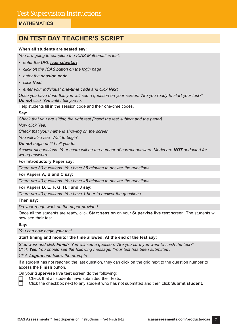## **MATHEMATICS**

## **ON TEST DAY TEACHER'S SCRIPT**

## **When all students are seated say:**

*You are going to complete the ICAS Mathematics test.*

- *• enter the URL [icas.site/start](https://icasassessments.janisoninsights.com/)*
- *• click on the* **ICAS** *button on the login page*
- *• enter the* **session code**
- *• click* **Next**
- *• enter your individual* **one-time code** *and click* **Next***.*

*Once you have done this you will see a question on your screen: 'Are you ready to start your test?'*  **Do not** *click* **Yes** *until I tell you to.*

Help students fill in the session code and their one-time codes.

## **Say:**

*Check that you are sitting the right test [insert the test subject and the paper].*

*Now click* **Yes***.*

*Check that* **your** *name is showing on the screen.*

*You will also see 'Wait to begin'.*

*Do not begin until I tell you to.*

*Answer all questions. Your score will be the number of correct answers. Marks are* **NOT** *deducted for wrong answers.*

## **For Introductory Paper say:**

*There are 30 questions. You have 35 minutes to answer the questions.*

**For Papers A, B and C say:**

*There are 40 questions. You have 45 minutes to answer the questions.*

**For Papers D, E, F, G, H, I and J say:**

*There are 40 questions. You have 1 hour to answer the questions.*

## **Then say:**

*Do your rough work on the paper provided.*

Once all the students are ready, click **Start session** on your **Supervise live test** screen. The students will now see their test.

**Say:**

*You can now begin your test.*

## **Start timing and monitor the time allowed. At the end of the test say:**

*Stop work and click* **Finish***. You will see a question, 'Are you sure you want to finish the test?' Click* **Yes***. You should see the following message: 'Your test has been submitted'.*

*Click* **Logout** *and follow the prompts.* 

If a student has not reached the last question, they can click on the grid next to the question number to access the **Finish** button.

On your **Supervise live test** screen do the following:

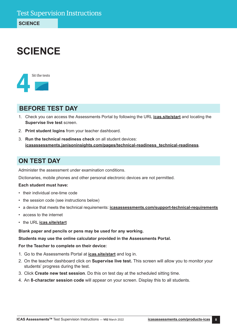## **SCIENCE**



## **BEFORE TEST DAY**

- 1. Check you can access the Assessments Portal by following the URL **[icas.site/start](https://icasassessments.janisoninsights.com/)** and locating the **Supervise live test** screen.
- 2. **Print student logins** from your teacher dashboard.
- 3. **Run the technical readiness check** on all student devices: **[icasassessments.janisoninsights.com/pages/technical-readiness\\_technical-readiness](https://icasassessments.janisoninsights.com/pages/technical-readiness_technical-readiness)**.

## **ON TEST DAY**

Administer the assessment under examination conditions.

Dictionaries, mobile phones and other personal electronic devices are not permitted.

## **Each student must have:**

- their individual one-time code
- the session code (see instructions below)
- a device that meets the [technical requirements](https://www.icasassessments.com/support-technical-requirements/): **[icasassessments.com/support-technical-requirements](http://icasassessments.com/support-technical-requirements)**
- access to the internet
- the URL **[icas.site/start](https://icasassessments.janisoninsights.com/)**

**Blank paper and pencils or pens may be used for any working.**

**Students may use the online calculator provided in the Assessments Portal.**

- 1. Go to the Assessments Portal at **[icas.site/start](https://icasassessments.janisoninsights.com/)** and log in.
- 2. On the teacher dashboard click on **Supervise live test.** This screen will allow you to monitor your students' progress during the test.
- 3. Click **Create new test session**. Do this on test day at the scheduled sitting time.
- 4. An **8-character session code** will appear on your screen. Display this to all students.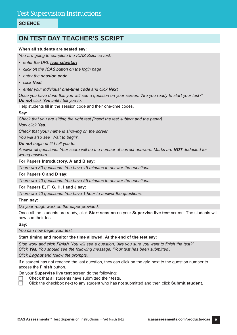## **SCIENCE**

## **ON TEST DAY TEACHER'S SCRIPT**

## **When all students are seated say:**

*You are going to complete the ICAS Science test.*

- *• enter the URL [icas.site/start](https://icasassessments.janisoninsights.com/)*
- *• click on the* **ICAS** *button on the login page*
- *• enter the* **session code**
- *• click* **Next**
- *• enter your individual* **one-time code** *and click* **Next***.*

*Once you have done this you will see a question on your screen: 'Are you ready to start your test?'*  **Do not** *click* **Yes** *until I tell you to.*

Help students fill in the session code and their one-time codes.

#### **Say:**

*Check that you are sitting the right test [insert the test subject and the paper].*

*Now click* **Yes***.*

*Check that* **your** *name is showing on the screen.*

*You will also see 'Wait to begin'.*

*Do not begin until I tell you to.*

*Answer all questions. Your score will be the number of correct answers. Marks are* **NOT** *deducted for wrong answers.*

#### **For Papers Introductory, A and B say:**

*There are 30 questions. You have 45 minutes to answer the questions.*

## **For Papers C and D say:**

*There are 40 questions. You have 55 minutes to answer the questions.*

**For Papers E, F, G, H, I and J say:**

*There are 40 questions. You have 1 hour to answer the questions.*

#### **Then say:**

*Do your rough work on the paper provided.* 

Once all the students are ready, click **Start session** on your **Supervise live test** screen. The students will now see their test.

**Say:**

#### *You can now begin your test.*

## **Start timing and monitor the time allowed. At the end of the test say:**

*Stop work and click* **Finish***. You will see a question, 'Are you sure you want to finish the test?' Click* **Yes***. You should see the following message: 'Your test has been submitted'.*

*Click* **Logout** *and follow the prompts.*

If a student has not reached the last question, they can click on the grid next to the question number to access the **Finish** button.

On your **Supervise live test** screen do the following:

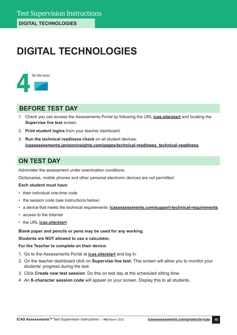## **DIGITAL TECHNOLOGIES**



## **BEFORE TEST DAY**

- 1. Check you can access the Assessments Portal by following the URL **[icas.site/start](https://icasassessments.janisoninsights.com/)** and locating the **Supervise live test** screen.
- 2. **Print student logins** from your teacher dashboard.
- 3. **Run the technical readiness check** on all student devices: **[icasassessments.janisoninsights.com/pages/technical-readiness\\_technical-readiness](https://icasassessments.janisoninsights.com/pages/technical-readiness_technical-readiness)**.

## **ON TEST DAY**

Administer the assessment under examination conditions.

Dictionaries, mobile phones and other personal electronic devices are not permitted.

## **Each student must have:**

- their individual one-time code
- the session code (see instructions below)
- a device that meets the [technical requirements](https://www.icasassessments.com/support-technical-requirements/): **[icasassessments.com/support-technical-requirements](http://icasassessments.com/support-technical-requirements)**
- access to the internet
- the URL **[icas.site/start](https://icasassessments.janisoninsights.com/)**

## **Blank paper and pencils or pens may be used for any working.**

**Students are NOT allowed to use a calculator.**

- 1. Go to the Assessments Portal at **[icas.site/start](https://icasassessments.janisoninsights.com/)** and log in.
- 2. On the teacher dashboard click on **Supervise live test.** This screen will allow you to monitor your students' progress during the test.
- 3. Click **Create new test session**. Do this on test day at the scheduled sitting time.
- 4. An **8-character session code** will appear on your screen. Display this to all students.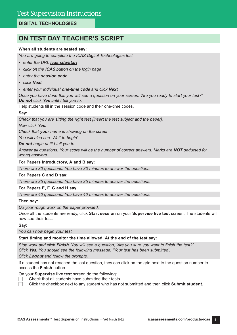## **DIGITAL TECHNOLOGIES**

## **ON TEST DAY TEACHER'S SCRIPT**

## **When all students are seated say:**

*You are going to complete the ICAS Digital Technologies test.*

- *• enter the URL [icas.site/start](https://icasassessments.janisoninsights.com/)*
- *• click on the* **ICAS** *button on the login page*
- *• enter the* **session code**
- *• click* **Next**
- *• enter your individual* **one-time code** *and click* **Next***.*

*Once you have done this you will see a question on your screen: 'Are you ready to start your test?'*  **Do not** *click* **Yes** *until I tell you to.*

Help students fill in the session code and their one-time codes.

## **Say:**

*Check that you are sitting the right test [insert the test subject and the paper].*

*Now click* **Yes***.*

*Check that* **your** *name is showing on the screen.*

*You will also see 'Wait to begin'.*

*Do not begin until I tell you to.*

*Answer all questions. Your score will be the number of correct answers. Marks are* **NOT** *deducted for wrong answers.*

## **For Papers Introductory, A and B say:**

*There are 30 questions. You have 30 minutes to answer the questions.*

## **For Papers C and D say:**

*There are 35 questions. You have 35 minutes to answer the questions.*

## **For Papers E, F, G and H say:**

*There are 40 questions. You have 40 minutes to answer the questions.*

## **Then say:**

*Do your rough work on the paper provided.* 

Once all the students are ready, click **Start session** on your **Supervise live test** screen. The students will now see their test.

**Say:**

*You can now begin your test.*

## **Start timing and monitor the time allowed. At the end of the test say:**

*Stop work and click* **Finish***. You will see a question, 'Are you sure you want to finish the test?' Click* **Yes***. You should see the following message: 'Your test has been submitted'.*

*Click* **Logout** *and follow the prompts.* 

If a student has not reached the last question, they can click on the grid next to the question number to access the **Finish** button.

On your **Supervise live test** screen do the following:

 Check that all students have submitted their tests.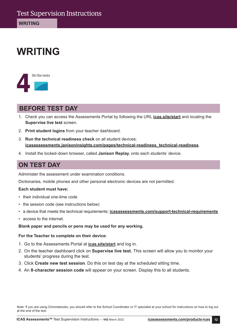## **WRITING**



## **BEFORE TEST DAY**

- 1. Check you can access the Assessments Portal by following the URL **[icas.site/start](https://icasassessments.janisoninsights.com/)** and locating the **Supervise live test** screen.
- 2. **Print student logins** from your teacher dashboard.
- 3. **Run the technical readiness check** on all student devices: **[icasassessments.janisoninsights.com/pages/technical-readiness\\_technical-readiness](https://icasassessments.janisoninsights.com/pages/technical-readiness_technical-readiness)**.
- 4. Install the locked-down browser, called **Janison Replay**, onto each students' device.

## **ON TEST DAY**

Administer the assessment under examination conditions.

Dictionaries, mobile phones and other personal electronic devices are not permitted.

## **Each student must have:**

- their individual one-time code
- the session code (see instructions below)
- a device that meets the [technical requirements](https://www.icasassessments.com/support-technical-requirements/): **[icasassessments.com/support-technical-requirements](http://icasassessments.com/support-technical-requirements)**
- access to the internet.

## **Blank paper and pencils or pens may be used for any working.**

## **For the Teacher to complete on their device:**

- 1. Go to the Assessments Portal at **[icas.site/start](https://icasassessments.janisoninsights.com/)** and log in.
- 2. On the teacher dashboard click on **Supervise live test.** This screen will allow you to monitor your students' progress during the test.
- 3. Click **Create new test session**. Do this on test day at the scheduled sitting time.
- 4. An **8-character session code** will appear on your screen. Display this to all students.

Note: If you are using Chromebooks, you should refer to the School Coordinator or IT specialist at your school for instructions on how to log out at the end of the test.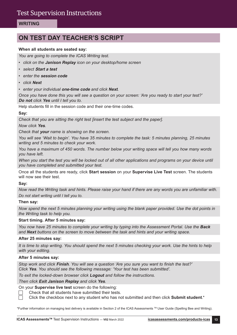## **WRITING**

## **ON TEST DAY TEACHER'S SCRIPT**

## **When all students are seated say:**

*You are going to complete the ICAS Writing test.*

- *• click on the Janison Replay icon on your desktop/home screen*
- *• select* **Start a test**
- *• enter the* **session code**
- *• click* **Next**
- *• enter your individual* **one-time code** *and click* **Next***.*

*Once you have done this you will see a question on your screen: 'Are you ready to start your test?'*  **Do not** *click* **Yes** *until I tell you to.*

Help students fill in the session code and their one-time codes.

#### **Say:**

*Check that you are sitting the right test [insert the test subject and the paper]. Now click* **Yes***.*

*Check that* **your** *name is showing on the screen.*

*You will see 'Wait to begin'. You have 35 minutes to complete the task: 5 minutes planning, 25 minutes writing and 5 minutes to check your work.*

*You have a maximum of 450 words. The number below your writing space will tell you how many words you have left.*

*When you start the test you will be locked out of all other applications and programs on your device until you have completed and submitted your test.*

Once all the students are ready, click **Start session** on your **Supervise Live Test** screen. The students will now see their test.

#### **Say:**

*Now read the Writing task and hints. Please raise your hand if there are any words you are unfamiliar with. Do not start writing until I tell you to.*

#### **Then say:**

*Now spend the next 5 minutes planning your writing using the blank paper provided. Use the dot points in the Writing task to help you.*

#### **Start timing. After 5 minutes say:**

*You now have 25 minutes to complete your writing by typing into the Assessment Portal. Use the Back and Next buttons on the screen to move between the task and hints and your writing space.*

#### **After 25 minutes say:**

*It is time to stop writing. You should spend the next 5 minutes checking your work. Use the hints to help with your editing.*

#### **After 5 minutes say:**

*Stop work and click* **Finish***. You will see a question 'Are you sure you want to finish the test?' Click* **Yes***. You should see the following message: 'Your test has been submitted'.*

*To exit the locked-down browser click* **Logout** *and follow the instructions.*

#### *Then click Exit Janison Replay and click* **Yes***.*

On your **Supervise live test** screen do the following:

- Check that all students have submitted their tests.
- Click the checkbox next to any student who has not submitted and then click **Submit student**.\*

\*Further information on managing test delivery is available in Section 2 of the ICAS Assessments TM User Guide (Spelling Bee and Writing).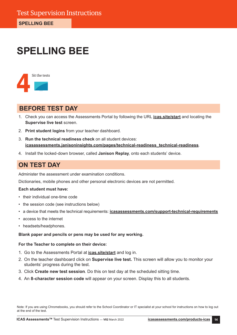## **SPELLING BEE**



## **BEFORE TEST DAY**

- 1. Check you can access the Assessments Portal by following the URL **[icas.site/start](https://icasassessments.janisoninsights.com/)** and locating the **Supervise live test** screen.
- 2. **Print student logins** from your teacher dashboard.
- 3. **Run the technical readiness check** on all student devices: **[icasassessments.janisoninsights.com/pages/technical-readiness\\_technical-readiness](https://icasassessments.janisoninsights.com/pages/technical-readiness_technical-readiness)**.
- 4. Install the locked-down browser, called **Janison Replay**, onto each students' device.

## **ON TEST DAY**

Administer the assessment under examination conditions.

Dictionaries, mobile phones and other personal electronic devices are not permitted.

## **Each student must have:**

- their individual one-time code
- the session code (see instructions below)
- a device that meets the [technical requirements](https://www.icasassessments.com/support-technical-requirements/): **[icasassessments.com/support-technical-requirements](http://icasassessments.com/support-technical-requirements)**
- access to the internet
- headsets/headphones.

## **Blank paper and pencils or pens may be used for any working.**

## **For the Teacher to complete on their device:**

- 1. Go to the Assessments Portal at **[icas.site/start](https://icasassessments.janisoninsights.com/)** and log in.
- 2. On the teacher dashboard click on **Supervise live test.** This screen will allow you to monitor your students' progress during the test.
- 3. Click **Create new test session**. Do this on test day at the scheduled sitting time.
- 4. An **8-character session code** will appear on your screen. Display this to all students.

Note: If you are using Chromebooks, you should refer to the School Coordinator or IT specialist at your school for instructions on how to log out at the end of the test.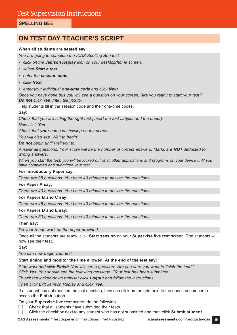## **SPELLING BEE**

## **ON TEST DAY TEACHER'S SCRIPT**

## **When all students are seated say:**

*You are going to complete the ICAS Spelling Bee test.*

- *• click on the Janison Replay icon on your desktop/home screen.*
- *• select* **Start a test**
- *• enter the* **session code**
- *• click* **Next**
- *• enter your individual* **one-time code** *and click* **Next***.*

*Once you have done this you will see a question on your screen: 'Are you ready to start your test?'*  **Do not** *click* **Yes** *until I tell you to.*

Help students fill in the session code and their one-time codes.

## **Say:**

*Check that you are sitting the right test [insert the test subject and the paper].*

*Now click* **Yes***.*

*Check that* **your** *name is showing on the screen.*

*You will also see 'Wait to begin'.*

*Do not begin until I tell you to.*

*Answer all questions. Your score will be the number of correct answers. Marks are* **NOT** *deducted for wrong answers.*

*When you start the test, you will be locked out of all other applications and programs on your device until you have completed and submitted your test.*

## **For Introductory Paper say:**

*There are 35 questions. You have 40 minutes to answer the questions.*

## **For Paper A say:**

*There are 40 questions. You have 40 minutes to answer the questions.*

## **For Papers B and C say:**

*There are 45 questions. You have 40 minutes to answer the questions.*

## **For Papers D and E say:**

*There are 50 questions. You have 40 minutes to answer the questions.*

## **Then say:**

*Do your rough work on the paper provided.* 

Once all the students are ready, click **Start session** on your **Supervise live test** screen. The students will now see their test.

**Say:**

*You can now begin your test.*

## **Start timing and monitor the time allowed. At the end of the test say:**

*Stop work and click* **Finish***. You will see a question, 'Are you sure you want to finish the test?' Click* **Yes***. You should see the following message: 'Your test has been submitted'.*

*To exit the locked-down browser click* **Logout** *and follow the instructions.*

*Then click Exit Janison Replay and click* **Yes***.*

If a student has not reached the last question, they can click on the grid next to the question number to access the **Finish** button.

On your **Supervise live test** screen do the following:

 Check that all students have submitted their tests.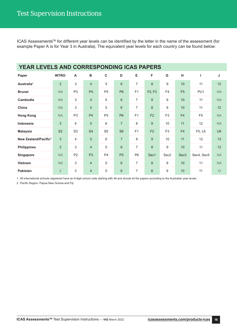ICAS Assessments™ for different year levels can be identified by the letter in the name of the assessment (for example Paper A is for Year 3 in Australia). The equivalent year levels for each country can be found below:

| <b>YEAR LEVELS AND CORRESPONDING ICAS PAPERS</b> |                |                |                |                |                |                |                                 |                |                  |                |                |
|--------------------------------------------------|----------------|----------------|----------------|----------------|----------------|----------------|---------------------------------|----------------|------------------|----------------|----------------|
| Paper                                            | <b>INTRO</b>   | A              | $\, {\bf B}$   | $\mathbf C$    | D              | Е              | F                               | G              | н                |                | J              |
| Australia <sup>1</sup>                           | $\overline{2}$ | 3              | $\overline{4}$ | 5              | $6\phantom{1}$ | $\overline{7}$ | 8                               | 9              | 10               | 11             | 12             |
| <b>Brunei</b>                                    | <b>NA</b>      | P <sub>3</sub> | P <sub>4</sub> | P <sub>5</sub> | P <sub>6</sub> | F1             | F <sub>2</sub> , F <sub>3</sub> | F4             | F <sub>5</sub>   | PU1            | <b>NA</b>      |
| Cambodia                                         | <b>NA</b>      | 3              | $\overline{4}$ | 5              | $\,6\,$        | $\overline{7}$ | 8                               | 9              | 10               | 11             | <b>NA</b>      |
| China                                            | <b>NA</b>      | 3              | $\overline{4}$ | 5              | $6\phantom{1}$ | $\overline{7}$ | 8                               | 9              | 10               | 11             | 12             |
| <b>Hong Kong</b>                                 | <b>NA</b>      | P <sub>3</sub> | P <sub>4</sub> | P <sub>5</sub> | P <sub>6</sub> | F1             | F <sub>2</sub>                  | F <sub>3</sub> | F <sub>4</sub>   | F <sub>5</sub> | <b>NA</b>      |
| Indonesia                                        | 3              | $\overline{4}$ | 5              | 6              | $\overline{7}$ | 8              | 9                               | 10             | 11               | 12             | <b>NA</b>      |
| <b>Malaysia</b>                                  | S <sub>2</sub> | S <sub>3</sub> | S <sub>4</sub> | S <sub>5</sub> | S <sub>6</sub> | F1             | F2                              | F <sub>3</sub> | F <sub>4</sub>   | F5, L6         | U <sub>6</sub> |
| New Zealand/Pacific <sup>2</sup>                 | 3              | $\overline{4}$ | $\overline{5}$ | 6              | $\overline{7}$ | 8              | 9                               | 10             | 11               | 12             | 13             |
| <b>Philippines</b>                               | $\overline{2}$ | 3              | $\overline{4}$ | 5              | $6\phantom{1}$ | $\overline{7}$ | 8                               | 9              | 10               | 11             | 12             |
| Singapore                                        | <b>NA</b>      | P <sub>2</sub> | P <sub>3</sub> | P <sub>4</sub> | P <sub>5</sub> | P <sub>6</sub> | Sec1                            | Sec2           | Sec <sub>3</sub> | Sec4, Sec5     | <b>NA</b>      |
| Vietnam                                          | <b>NA</b>      | 3              | $\overline{4}$ | 5              | $6\phantom{1}$ | $\overline{7}$ | 8                               | 9              | 10               | 11             | <b>NA</b>      |
| <b>Pakistan</b>                                  | $\overline{2}$ | 3              | $\overline{4}$ | 5              | $6\phantom{1}$ | $\overline{7}$ | 8                               | 9              | 10               | 11             | 12             |

1. All international schools registered have an 8-digit school code starting with 46 and should sit the papers according to the Australian year levels.

2. Pacific Region: Papua New Guinea and Fiji.